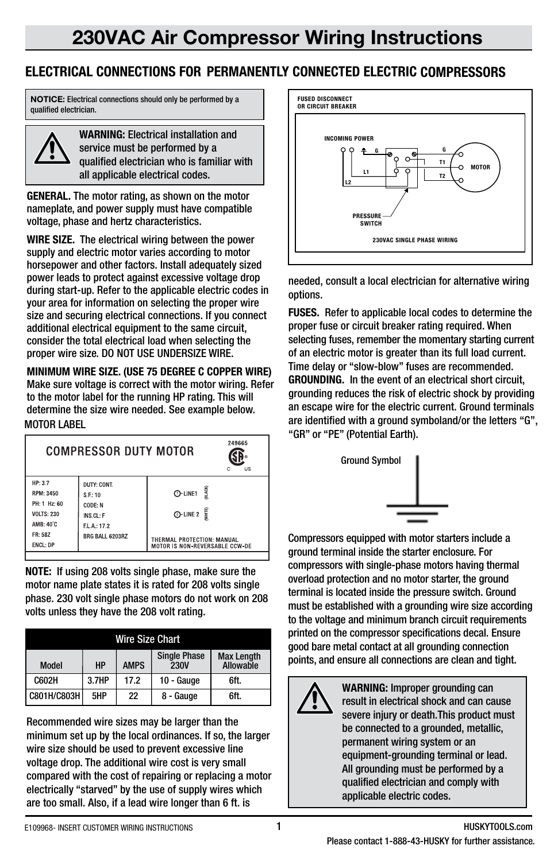## **ELECTRICAL CONNECTIONS FOR PERMANENTLY CONNECTED ELECTRIC COMPRESSORS**

**NOTICE:** Electrical connections should only be performed by a qualified electrician.



**WARNING:** Electrical installation and service must be performed by a qualified electrician who is familiar with all applicable electrical codes.

**GENERAL.** The motor rating, as shown on the motor nameplate, and power supply must have compatible voltage, phase and hertz characteristics.

**WIRE SIZE.** The electrical wiring between the power supply and electric motor varies according to motor horsepower and other factors. Install adequately sized power leads to protect against excessive voltage drop during start-up. Refer to the applicable electric codes in your area for information on selecting the proper wire size and securing electrical connections. If you connect additional electrical equipment to the same circuit, consider the total electrical load when selecting the proper wire size. DO NOT USE UNDERSIZE WIRE.

MOTOR LABEL **MINIMUM WIRE SIZE. (USE 75 DEGREE C COPPER WIRE)**  Make sure voltage is correct with the motor wiring. Refer to the motor label for the running HP rating. This will determine the size wire needed. See example below.

| 249665<br>COMPRESSOR DUTY MOTOR<br><b>US</b><br>c                                                           |                                                                                |                                                                                                                   |  |  |
|-------------------------------------------------------------------------------------------------------------|--------------------------------------------------------------------------------|-------------------------------------------------------------------------------------------------------------------|--|--|
| HP: 3.7<br><b>RPM: 3450</b><br>PH: 1 Hz: 60<br><b>VOLTS: 230</b><br>AMB: 40°C<br>FR: 58Z<br><b>ENCL: DP</b> | DUTY: CONT.<br>S.F:10<br>CODE: N<br>INS.CL: F<br>FL A: 17.2<br>BRG BALL 6203RZ | BLACK<br>$O$ -LINE1<br><b>MHTE</b><br>$Q$ -LINE 2<br>THERMAL PROTECTION: MANUAL<br>MOTOR IS NON-REVERSABLE CCW-DE |  |  |

**NOTE:** If using 208 volts single phase, make sure the motor name plate states it is rated for 208 volts single phase. 230 volt single phase motors do not work on 208 volts unless they have the 208 volt rating.

| <b>Wire Size Chart</b> |           |             |                                    |                                |  |
|------------------------|-----------|-------------|------------------------------------|--------------------------------|--|
| Model                  | <b>HP</b> | <b>AMPS</b> | <b>Single Phase</b><br><b>230V</b> | <b>Max Length</b><br>Allowable |  |
| C602H                  | 3.7HP     | 17.2        | 10 - Gauge                         | 6ft.                           |  |
| C801H/C803H            | 5HP       | 22          | 8 - Gauge                          | 6ft.                           |  |

Recommended wire sizes may be larger than the minimum set up by the local ordinances. If so, the larger wire size should be used to prevent excessive line voltage drop. The additional wire cost is very small compared with the cost of repairing or replacing a motor electrically "starved" by the use of supply wires which are too small. Also, if a lead wire longer than 6 ft. is



needed, consult a local electrician for alternative wiring options.

**FUSES.** Refer to applicable local codes to determine the proper fuse or circuit breaker rating required. When selecting fuses, remember the momentary starting current of an electric motor is greater than its full load current. Time delay or "slow-blow" fuses are recommended. **GROUNDING.** In the event of an electrical short circuit, grounding reduces the risk of electric shock by providing an escape wire for the electric current. Ground terminals are identified with a ground symboland/or the letters "G", "GR" or "PE" (Potential Earth).



Compressors equipped with motor starters include a ground terminal inside the starter enclosure. For compressors with single-phase motors having thermal overload protection and no motor starter, the ground terminal is located inside the pressure switch. Ground must be established with a grounding wire size according to the voltage and minimum branch circuit requirements printed on the compressor specifications decal. Ensure good bare metal contact at all grounding connection points, and ensure all connections are clean and tight.



**WARNING:** Improper grounding can result in electrical shock and can cause severe injury or death.This product must be connected to a grounded, metallic. permanent wiring system or an equipment-grounding terminal or lead. All grounding must be performed by a qualified electrician and comply with applicable electric codes.